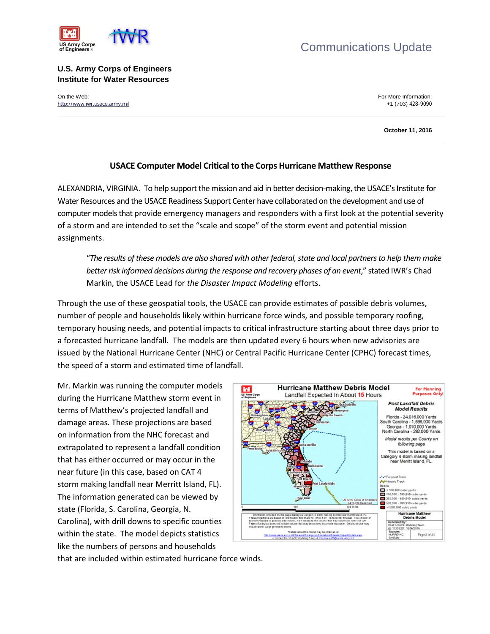



## **U.S. Army Corps of Engineers Institute for Water Resources**

On the Web: For More Information:  $\blacksquare$ [http://www.iwr.usace.army.mil](http://www.iwr.usace.army.mil/) +1 (703) 428-9090

**October 11, 2016**

## **USACE Computer Model Critical to the Corps Hurricane Matthew Response**

ALEXANDRIA, VIRGINIA. To help support the mission and aid in better decision-making, the USACE's Institute for Water Resources and the USACE Readiness Support Center have collaborated on the development and use of computer models that provide emergency managers and responders with a first look at the potential severity of a storm and are intended to set the "scale and scope" of the storm event and potential mission assignments.

"*The results of these models are also shared with other federal, state and local partners to help them make better risk informed decisions during the response and recovery phases of an event*," stated IWR's Chad Markin, the USACE Lead for *the Disaster Impact Modeling* efforts.

Through the use of these geospatial tools, the USACE can provide estimates of possible debris volumes, number of people and households likely within hurricane force winds, and possible temporary roofing, temporary housing needs, and potential impacts to critical infrastructure starting about three days prior to a forecasted hurricane landfall. The models are then updated every 6 hours when new advisories are issued by the National Hurricane Center (NHC) or Central Pacific Hurricane Center (CPHC) forecast times, the speed of a storm and estimated time of landfall.

Mr. Markin was running the computer models during the Hurricane Matthew storm event in terms of Matthew's projected landfall and damage areas. These projections are based on information from the NHC forecast and extrapolated to represent a landfall condition that has either occurred or may occur in the near future (in this case, based on CAT 4 storm making landfall near Merritt Island, FL). The information generated can be viewed by state (Florida, S. Carolina, Georgia, N. Carolina), with drill downs to specific counties within the state. The model depicts statistics like the numbers of persons and households



that are included within estimated hurricane force winds.